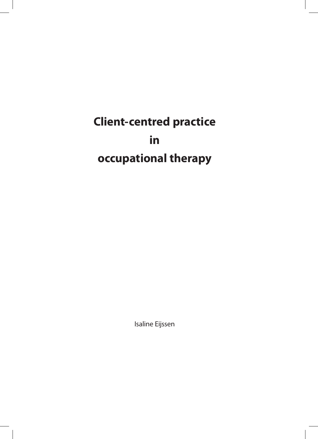**Client-centred practice in occupational therapy**

Isaline Eijssen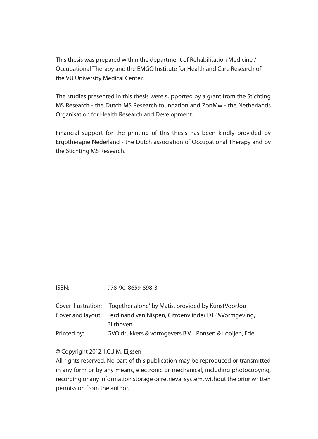This thesis was prepared within the department of Rehabilitation Medicine / Occupational Therapy and the EMGO Institute for Health and Care Research of the VU University Medical Center.

The studies presented in this thesis were supported by a grant from the Stichting MS Research - the Dutch MS Research foundation and ZonMw - the Netherlands Organisation for Health Research and Development.

Financial support for the printing of this thesis has been kindly provided by Ergotherapie Nederland - the Dutch association of Occupational Therapy and by the Stichting MS Research.

|             | Cover illustration: 'Together alone' by Matis, provided by KunstVoorJou |
|-------------|-------------------------------------------------------------------------|
|             | Cover and layout: Ferdinand van Nispen, Citroenvlinder DTP&Vormgeving,  |
|             | <b>Bilthoven</b>                                                        |
| Printed by: | GVO drukkers & vormgevers B.V.   Ponsen & Looijen, Ede                  |

## © Copyright 2012, I.C.J.M. Eijssen

All rights reserved. No part of this publication may be reproduced or transmitted in any form or by any means, electronic or mechanical, including photocopying, recording or any information storage or retrieval system, without the prior written permission from the author.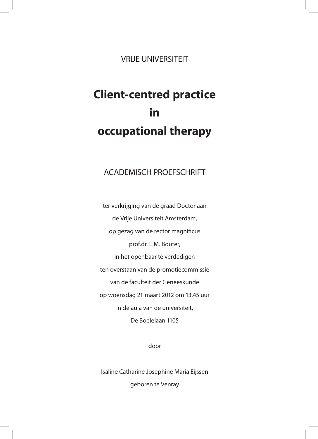VRIJE UNIVERSITEIT

## **Client-centred practice in occupational therapy**

## ACADEMISCH PROEFSCHRIFT

ter verkrijging van de graad Doctor aan de Vrije Universiteit Amsterdam, op gezag van de rector magnificus prof.dr. L.M. Bouter, in het openbaar te verdedigen ten overstaan van de promotiecommissie van de faculteit der Geneeskunde op woensdag 21 maart 2012 om 13.45 uur in de aula van de universiteit, De Boelelaan 1105

door

Isaline Catharine Josephine Maria Eijssen geboren te Venray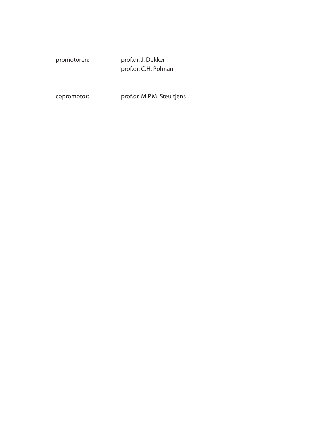promotoren: prof.dr. J. Dekker prof.dr. C.H. Polman

copromotor: prof.dr. M.P.M. Steultjens